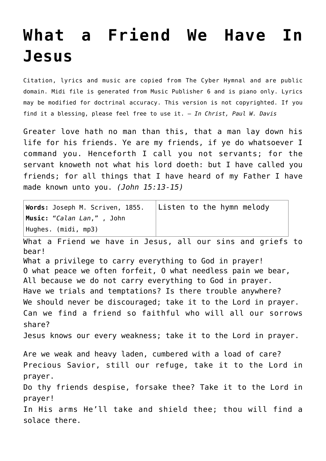## **[What a Friend We Have In](http://reproachofmen.org/hymns-and-music/what-a-friend-we-have-in-jesus/) [Jesus](http://reproachofmen.org/hymns-and-music/what-a-friend-we-have-in-jesus/)**

Citation, lyrics and music are copied from [The Cyber Hymnal](http://www.hymntime.com/tch/) and are public domain. Midi file is generated from Music Publisher 6 and is piano only. Lyrics may be modified for doctrinal accuracy. This version is not copyrighted. If you find it a blessing, please feel free to use it. — *In Christ, Paul W. Davis*

Greater love hath no man than this, that a man lay down his life for his friends. Ye are my friends, if ye do whatsoever I command you. Henceforth I call you not servants; for the servant knoweth not what his lord doeth: but I have called you friends; for all things that I have heard of my Father I have made known unto you. *(John 15:13-15)*

| Words: Joseph M. Scriven, 1855.                                                                                                                                                                                                                  | Listen to the hymn melody                                    |
|--------------------------------------------------------------------------------------------------------------------------------------------------------------------------------------------------------------------------------------------------|--------------------------------------------------------------|
| Music: "Calan Lan,", John<br>Hughes. (midi, mp3)                                                                                                                                                                                                 |                                                              |
| What a Friend we have in Jesus, all our sins and griefs to<br>bear!                                                                                                                                                                              |                                                              |
| What a privilege to carry everything to God in prayer!<br>O what peace we often forfeit, O what needless pain we bear,<br>All because we do not carry everything to God in prayer.<br>Have we trials and temptations? Is there trouble anywhere? |                                                              |
| We should never be discouraged; take it to the Lord in prayer.                                                                                                                                                                                   |                                                              |
| share?                                                                                                                                                                                                                                           | Can we find a friend so faithful who will all our sorrows    |
| Jesus knows our every weakness; take it to the Lord in prayer.                                                                                                                                                                                   |                                                              |
| Are we weak and heavy laden, cumbered with a load of care?                                                                                                                                                                                       |                                                              |
|                                                                                                                                                                                                                                                  | Precious Savior, still our refuge, take it to the Lord in    |
| prayer.                                                                                                                                                                                                                                          |                                                              |
| prayer!                                                                                                                                                                                                                                          | Do thy friends despise, forsake thee? Take it to the Lord in |
| In His arms He'll take and shield thee; thou will find a<br>solace there.                                                                                                                                                                        |                                                              |